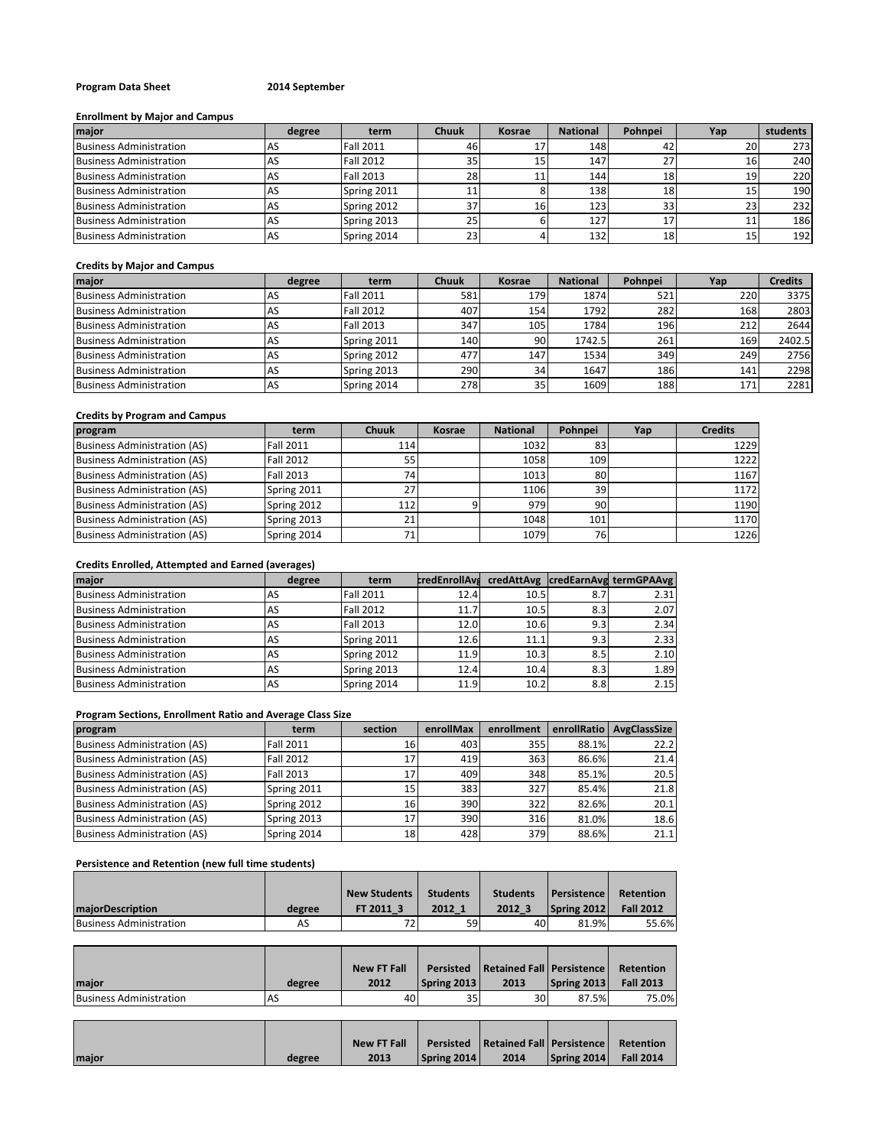## **Program Data Sheet 2014 September**

## **Enrollment by Major and Campus**

| major                          | degree | term             | <b>Chuuk</b> | Kosrae | <b>National</b> | Pohnpei | Yap | students |
|--------------------------------|--------|------------------|--------------|--------|-----------------|---------|-----|----------|
| <b>Business Administration</b> | AS     | <b>Fall 2011</b> | 46           |        | 148             | 42      | 20  | 273      |
| <b>Business Administration</b> | AS     | <b>Fall 2012</b> | 35           |        | 147             | 27      | ïр  | 240      |
| <b>Business Administration</b> | AS     | <b>Fall 2013</b> | 28           |        | 144             | 18      | 19  | 220      |
| <b>Business Administration</b> | AS     | Spring 2011      | 11           |        | 138             | 18      | 15  | 190      |
| <b>Business Administration</b> | AS     | Spring 2012      | 37           | 161    | 123             | 331     | 23  | 232      |
| <b>Business Administration</b> | AS     | Spring 2013      | 25           |        | 127             | 17      |     | 186      |
| <b>Business Administration</b> | AS     | Spring 2014      | 23           |        | 132             | 18      |     | 192      |

## **Credits by Major and Campus**

| major                          | degree | term             | <b>Chuuk</b> | Kosrae          | <b>National</b> | Pohnpei | Yap | <b>Credits</b> |
|--------------------------------|--------|------------------|--------------|-----------------|-----------------|---------|-----|----------------|
| <b>Business Administration</b> | AS     | <b>Fall 2011</b> | 581          | 179             | 1874            | 521     | 220 | 3375           |
| <b>Business Administration</b> | AS     | <b>Fall 2012</b> | 407          | 154             | 1792            | 282     | 168 | 2803           |
| <b>Business Administration</b> | AS     | <b>Fall 2013</b> | 347          | 105             | 1784            | 196     | 212 | 2644           |
| <b>Business Administration</b> | AS     | Spring 2011      | 140          | 90              | 1742.5          | 261     | 169 | 2402.5         |
| <b>Business Administration</b> | AS     | Spring 2012      | 477          | 147             | 1534            | 349     | 249 | 2756           |
| <b>Business Administration</b> | AS     | Spring 2013      | 290          | 34              | 1647            | 186     | 141 | 2298           |
| <b>Business Administration</b> | AS     | Spring 2014      | 278          | 35 <sub>1</sub> | 1609            | 188     | 171 | 2281           |

# **Credits by Program and Campus**

| program                             | term             | <b>Chuuk</b> | Kosrae | <b>National</b> | Pohnpei   | Yap | <b>Credits</b> |
|-------------------------------------|------------------|--------------|--------|-----------------|-----------|-----|----------------|
| <b>Business Administration (AS)</b> | <b>Fall 2011</b> | 114          |        | 1032            | 83        |     | 1229           |
| <b>Business Administration (AS)</b> | <b>Fall 2012</b> | 55           |        | 1058            | 109       |     | 1222           |
| <b>Business Administration (AS)</b> | <b>Fall 2013</b> | 74           |        | 1013            | -80       |     | 1167           |
| <b>Business Administration (AS)</b> | Spring 2011      | 27           |        | 1106            | 39        |     | 1172           |
| <b>Business Administration (AS)</b> | Spring 2012      | 112          |        | 979             | 90        |     | 1190           |
| <b>Business Administration (AS)</b> | Spring 2013      | 21           |        | 1048            | 101       |     | 1170           |
| <b>Business Administration (AS)</b> | Spring 2014      |              |        | 1079            | <b>76</b> |     | 1226           |

## **Credits Enrolled, Attempted and Earned (averages)**

| major                          | degree | term             | <b>credEnrollAvs</b> |      |     | credAttAvg credEarnAvg termGPAAvg |
|--------------------------------|--------|------------------|----------------------|------|-----|-----------------------------------|
| <b>Business Administration</b> | AS     | <b>Fall 2011</b> | 12.4                 | 10.5 | 8.7 | 2.31                              |
| <b>Business Administration</b> | AS     | <b>Fall 2012</b> | 11.7                 | 10.5 | 8.3 | 2.07                              |
| <b>Business Administration</b> | AS     | <b>Fall 2013</b> | 12.0                 | 10.6 | 9.3 | 2.34                              |
| <b>Business Administration</b> | AS     | Spring 2011      | 12.6                 | 11.1 | 9.3 | 2.33                              |
| <b>Business Administration</b> | AS     | Spring 2012      | 11.9                 | 10.3 | 8.5 | 2.10                              |
| <b>Business Administration</b> | AS     | Spring 2013      | 12.4                 | 10.4 | 8.3 | 1.89                              |
| <b>Business Administration</b> | AS     | Spring 2014      | 11.9                 | 10.2 | 8.8 | 2.15                              |

## **Program Sections, Enrollment Ratio and Average Class Size**

| program                             | term             | section | enrollMax | enrollment | enrollRatio | <b>AvgClassSize</b> |
|-------------------------------------|------------------|---------|-----------|------------|-------------|---------------------|
| <b>Business Administration (AS)</b> | <b>Fall 2011</b> | 16      | 403       | 355        | 88.1%       | 22.2                |
| <b>Business Administration (AS)</b> | <b>Fall 2012</b> | 17'     | 419       | 363        | 86.6%       | 21.4                |
| <b>Business Administration (AS)</b> | <b>Fall 2013</b> | 17      | 409       | 348        | 85.1%       | 20.5                |
| <b>Business Administration (AS)</b> | Spring 2011      | 15      | 383       | 327        | 85.4%       | 21.8                |
| <b>Business Administration (AS)</b> | Spring 2012      | 16      | 390       | 322        | 82.6%       | 20.1                |
| <b>Business Administration (AS)</b> | Spring 2013      | 17      | 390       | 316        | 81.0%       | 18.6                |
| <b>Business Administration (AS)</b> | Spring 2014      | 18      | 428       | 379        | 88.6%       | 21.1                |

## **Persistence and Retention (new full time students)**

|                                |        | <b>New Students</b> | <b>Students</b> | <b>Students</b> | <b>Persistence</b> | Retention        |
|--------------------------------|--------|---------------------|-----------------|-----------------|--------------------|------------------|
| <b>majorDescription</b>        | degree | FT 2011 3           | 2012 1          | 2012 3          | Spring 2012        | <b>Fall 2012</b> |
| <b>Business Administration</b> | AS     | 72.                 | 59              | 40              | 81.9%              | 55.6%            |

|                         |           | <b>New FT Fall</b> |                    | Persisted   Retained Fall   Persistence |             | Retention        |
|-------------------------|-----------|--------------------|--------------------|-----------------------------------------|-------------|------------------|
| Imaior                  | degree    | 2012               | <b>Spring 2013</b> | 2013                                    | Spring 2013 | <b>Fall 2013</b> |
| Business Administration | <b>AS</b> | 40                 | 35                 | 30 <sub>1</sub>                         | 87.5%       | 75.0%            |

|       |        | <b>New FT Fall</b> |             | <b>Persisted Retained Fall Persistence Retention</b> |                                |  |
|-------|--------|--------------------|-------------|------------------------------------------------------|--------------------------------|--|
| major | degree | 2013               | Spring 2014 | 2014                                                 | $\left $ Spring 2014 Fall 2014 |  |
|       |        |                    |             |                                                      |                                |  |